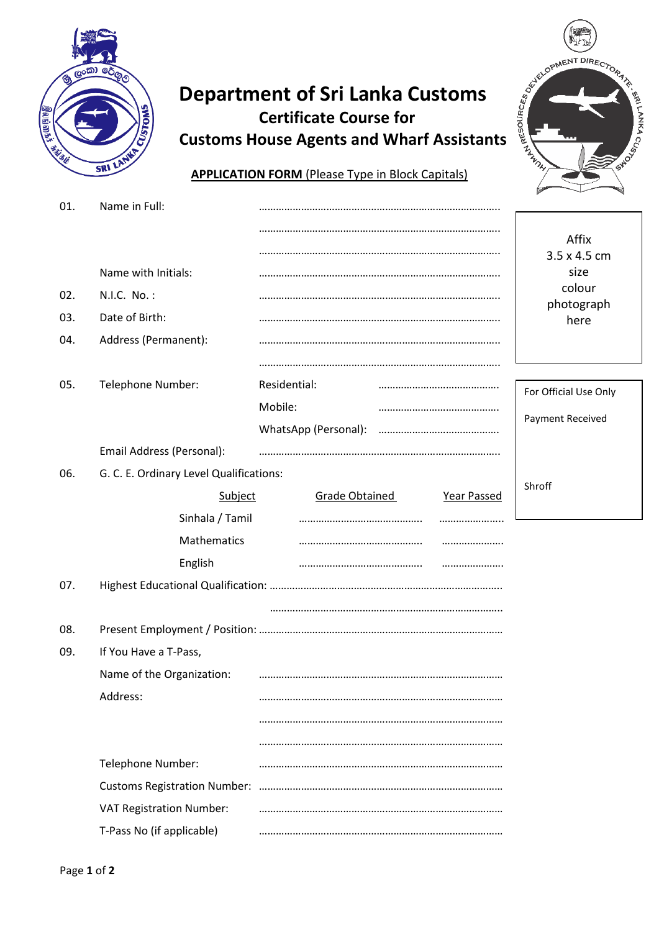

## **Department of Sri Lanka Customs Certificate Course for Customs House Agents and Wharf Assistants**



**APPLICATION FORM** (Please Type in Block Capitals)

| 01. | Name in Full:                           |                                             |                       |
|-----|-----------------------------------------|---------------------------------------------|-----------------------|
|     |                                         |                                             |                       |
|     |                                         |                                             | Affix                 |
|     |                                         |                                             | 3.5 x 4.5 cm          |
|     | Name with Initials:                     |                                             | size<br>colour        |
| 02. | N.I.C. No.:                             |                                             | photograph            |
| 03. | Date of Birth:                          |                                             | here                  |
| 04. | Address (Permanent):                    |                                             |                       |
|     |                                         |                                             |                       |
| 05. | Telephone Number:                       | Residential:                                | For Official Use Only |
|     |                                         | Mobile:                                     |                       |
|     |                                         | WhatsApp (Personal):                        | Payment Received      |
|     | Email Address (Personal):               |                                             |                       |
| 06. | G. C. E. Ordinary Level Qualifications: |                                             |                       |
|     | Subject                                 | <b>Year Passed</b><br><b>Grade Obtained</b> | Shroff                |
|     |                                         |                                             |                       |
|     | Sinhala / Tamil                         |                                             |                       |
|     | Mathematics                             |                                             |                       |
|     | English                                 |                                             |                       |
| 07. |                                         |                                             |                       |
|     |                                         |                                             |                       |
| 08. |                                         |                                             |                       |
| 09. | If You Have a T-Pass,                   |                                             |                       |
|     | Name of the Organization:               |                                             |                       |
|     | Address:                                |                                             |                       |
|     |                                         |                                             |                       |
|     |                                         |                                             |                       |
|     | Telephone Number:                       |                                             |                       |
|     | <b>Customs Registration Number:</b>     |                                             |                       |
|     |                                         |                                             |                       |
|     | <b>VAT Registration Number:</b>         |                                             |                       |
|     | T-Pass No (if applicable)               |                                             |                       |